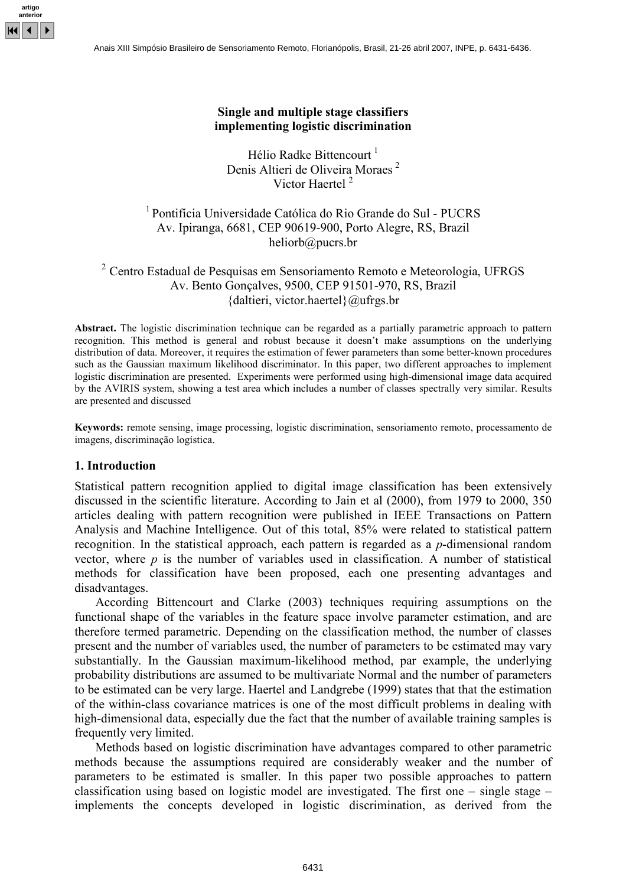

### Single and multiple stage classifiers implementing logistic discrimination

Hélio Radke Bittencourt<sup>1</sup> Denis Altieri de Oliveira Moraes <sup>2</sup> Victor Haertel<sup>2</sup>

1 Pontifícia Universidade Católica do Rio Grande do Sul - PUCRS Av. Ipiranga, 6681, CEP 90619-900, Porto Alegre, RS, Brazil heliorb@pucrs.br

# <sup>2</sup> Centro Estadual de Pesquisas em Sensoriamento Remoto e Meteorologia, UFRGS Av. Bento Gonçalves, 9500, CEP 91501-970, RS, Brazil {daltieri, victor.haertel}@ufrgs.br

Abstract. The logistic discrimination technique can be regarded as a partially parametric approach to pattern recognition. This method is general and robust because it doesn't make assumptions on the underlying distribution of data. Moreover, it requires the estimation of fewer parameters than some better-known procedures such as the Gaussian maximum likelihood discriminator. In this paper, two different approaches to implement logistic discrimination are presented. Experiments were performed using high-dimensional image data acquired by the AVIRIS system, showing a test area which includes a number of classes spectrally very similar. Results are presented and discussed

Keywords: remote sensing, image processing, logistic discrimination, sensoriamento remoto, processamento de imagens, discriminação logística.

## 1. Introduction

Statistical pattern recognition applied to digital image classification has been extensively discussed in the scientific literature. According to Jain et al (2000), from 1979 to 2000, 350 articles dealing with pattern recognition were published in IEEE Transactions on Pattern Analysis and Machine Intelligence. Out of this total, 85% were related to statistical pattern recognition. In the statistical approach, each pattern is regarded as a p-dimensional random vector, where  $p$  is the number of variables used in classification. A number of statistical methods for classification have been proposed, each one presenting advantages and disadvantages.

According Bittencourt and Clarke (2003) techniques requiring assumptions on the functional shape of the variables in the feature space involve parameter estimation, and are therefore termed parametric. Depending on the classification method, the number of classes present and the number of variables used, the number of parameters to be estimated may vary substantially. In the Gaussian maximum-likelihood method, par example, the underlying probability distributions are assumed to be multivariate Normal and the number of parameters to be estimated can be very large. Haertel and Landgrebe (1999) states that that the estimation of the within-class covariance matrices is one of the most difficult problems in dealing with high-dimensional data, especially due the fact that the number of available training samples is frequently very limited.

Methods based on logistic discrimination have advantages compared to other parametric methods because the assumptions required are considerably weaker and the number of parameters to be estimated is smaller. In this paper two possible approaches to pattern classification using based on logistic model are investigated. The first one – single stage – implements the concepts developed in logistic discrimination, as derived from the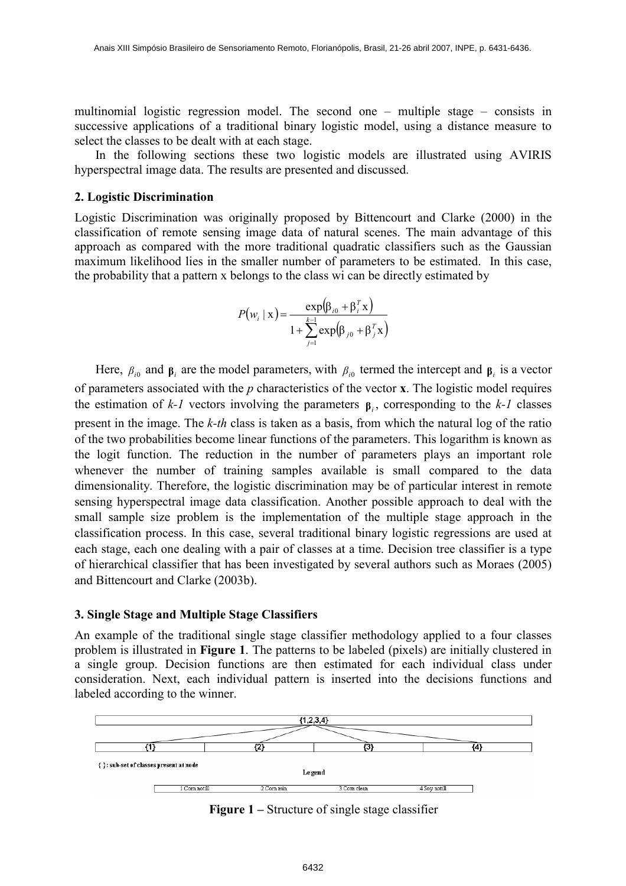multinomial logistic regression model. The second one – multiple stage – consists in successive applications of a traditional binary logistic model, using a distance measure to select the classes to be dealt with at each stage.

In the following sections these two logistic models are illustrated using AVIRIS hyperspectral image data. The results are presented and discussed.

### 2. Logistic Discrimination

Logistic Discrimination was originally proposed by Bittencourt and Clarke (2000) in the classification of remote sensing image data of natural scenes. The main advantage of this approach as compared with the more traditional quadratic classifiers such as the Gaussian maximum likelihood lies in the smaller number of parameters to be estimated. In this case, the probability that a pattern x belongs to the class wi can be directly estimated by

$$
P(w_i \mid \mathbf{x}) = \frac{\exp(\beta_{i0} + \beta_i^T \mathbf{x})}{1 + \sum_{j=1}^{k-1} \exp(\beta_{j0} + \beta_j^T \mathbf{x})}
$$

Here,  $\beta_{i0}$  and  $\beta_i$  are the model parameters, with  $\beta_{i0}$  termed the intercept and  $\beta_i$  is a vector of parameters associated with the  $p$  characteristics of the vector  $x$ . The logistic model requires the estimation of  $k-1$  vectors involving the parameters  $\beta$ <sub>i</sub>, corresponding to the  $k-1$  classes present in the image. The k-th class is taken as a basis, from which the natural log of the ratio of the two probabilities become linear functions of the parameters. This logarithm is known as the logit function. The reduction in the number of parameters plays an important role whenever the number of training samples available is small compared to the data dimensionality. Therefore, the logistic discrimination may be of particular interest in remote sensing hyperspectral image data classification. Another possible approach to deal with the small sample size problem is the implementation of the multiple stage approach in the classification process. In this case, several traditional binary logistic regressions are used at each stage, each one dealing with a pair of classes at a time. Decision tree classifier is a type of hierarchical classifier that has been investigated by several authors such as Moraes (2005) and Bittencourt and Clarke (2003b).

### 3. Single Stage and Multiple Stage Classifiers

An example of the traditional single stage classifier methodology applied to a four classes problem is illustrated in Figure 1. The patterns to be labeled (pixels) are initially clustered in a single group. Decision functions are then estimated for each individual class under consideration. Next, each individual pattern is inserted into the decisions functions and labeled according to the winner.



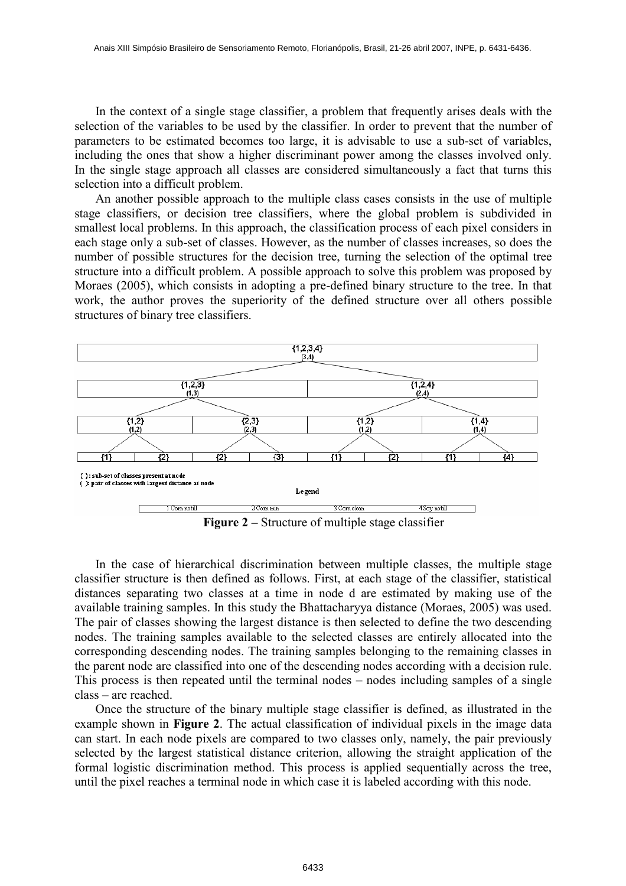In the context of a single stage classifier, a problem that frequently arises deals with the selection of the variables to be used by the classifier. In order to prevent that the number of parameters to be estimated becomes too large, it is advisable to use a sub-set of variables, including the ones that show a higher discriminant power among the classes involved only. In the single stage approach all classes are considered simultaneously a fact that turns this selection into a difficult problem.

An another possible approach to the multiple class cases consists in the use of multiple stage classifiers, or decision tree classifiers, where the global problem is subdivided in smallest local problems. In this approach, the classification process of each pixel considers in each stage only a sub-set of classes. However, as the number of classes increases, so does the number of possible structures for the decision tree, turning the selection of the optimal tree structure into a difficult problem. A possible approach to solve this problem was proposed by Moraes (2005), which consists in adopting a pre-defined binary structure to the tree. In that work, the author proves the superiority of the defined structure over all others possible structures of binary tree classifiers.



Figure 2 – Structure of multiple stage classifier

In the case of hierarchical discrimination between multiple classes, the multiple stage classifier structure is then defined as follows. First, at each stage of the classifier, statistical distances separating two classes at a time in node d are estimated by making use of the available training samples. In this study the Bhattacharyya distance (Moraes, 2005) was used. The pair of classes showing the largest distance is then selected to define the two descending nodes. The training samples available to the selected classes are entirely allocated into the corresponding descending nodes. The training samples belonging to the remaining classes in the parent node are classified into one of the descending nodes according with a decision rule. This process is then repeated until the terminal nodes – nodes including samples of a single class – are reached.

Once the structure of the binary multiple stage classifier is defined, as illustrated in the example shown in Figure 2. The actual classification of individual pixels in the image data can start. In each node pixels are compared to two classes only, namely, the pair previously selected by the largest statistical distance criterion, allowing the straight application of the formal logistic discrimination method. This process is applied sequentially across the tree, until the pixel reaches a terminal node in which case it is labeled according with this node.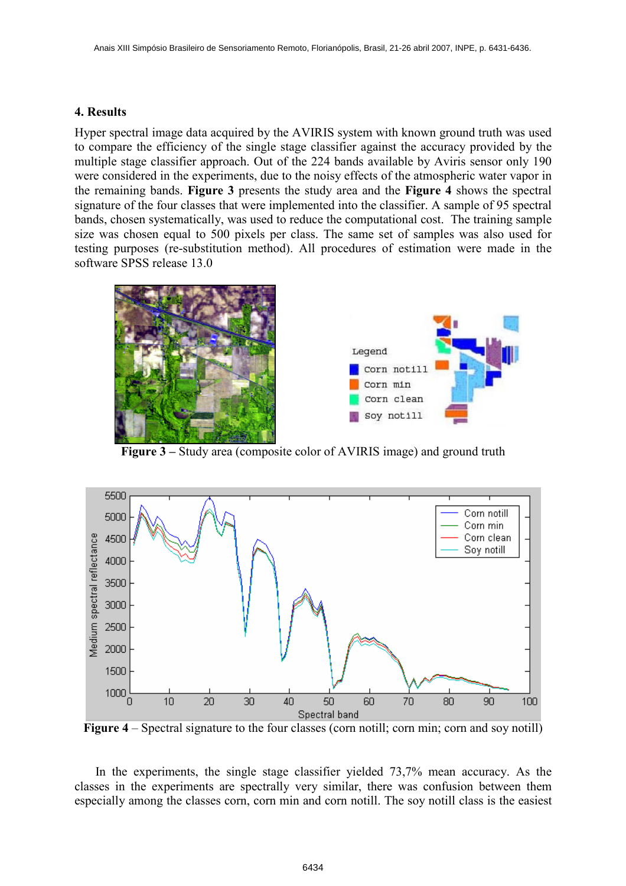## 4. Results

Hyper spectral image data acquired by the AVIRIS system with known ground truth was used to compare the efficiency of the single stage classifier against the accuracy provided by the multiple stage classifier approach. Out of the 224 bands available by Aviris sensor only 190 were considered in the experiments, due to the noisy effects of the atmospheric water vapor in the remaining bands. Figure 3 presents the study area and the Figure 4 shows the spectral signature of the four classes that were implemented into the classifier. A sample of 95 spectral bands, chosen systematically, was used to reduce the computational cost. The training sample size was chosen equal to 500 pixels per class. The same set of samples was also used for testing purposes (re-substitution method). All procedures of estimation were made in the software SPSS release 13.0



Figure 3 – Study area (composite color of AVIRIS image) and ground truth



Figure 4 – Spectral signature to the four classes (corn notill; corn min; corn and soy notill)

In the experiments, the single stage classifier yielded 73,7% mean accuracy. As the classes in the experiments are spectrally very similar, there was confusion between them especially among the classes corn, corn min and corn notill. The soy notill class is the easiest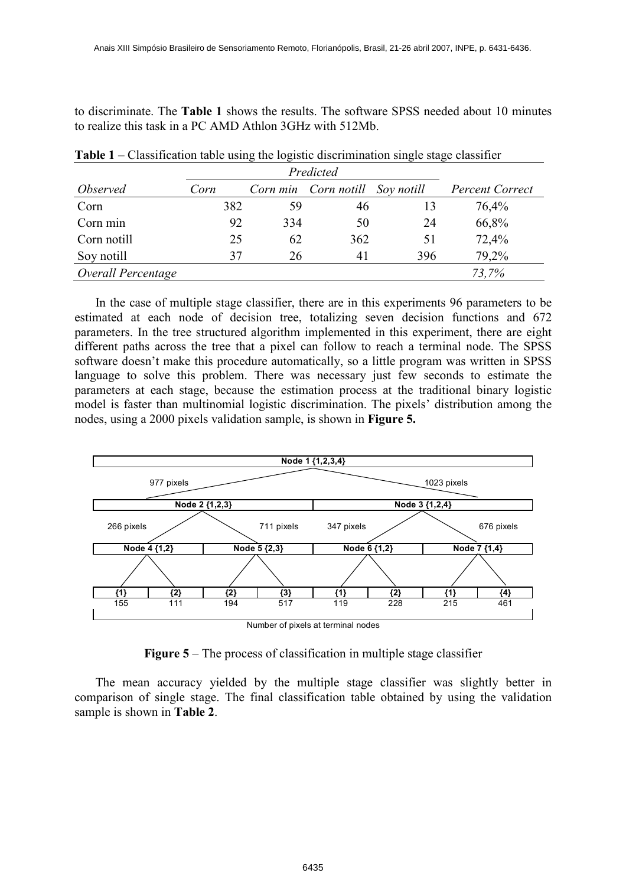to discriminate. The Table 1 shows the results. The software SPSS needed about 10 minutes to realize this task in a PC AMD Athlon 3GHz with 512Mb.

| <i><b>Observed</b></i> | Corn |     | Corn min Corn notill Soy notill |     | <b>Percent Correct</b> |
|------------------------|------|-----|---------------------------------|-----|------------------------|
| Corn                   | 382  | 59  | 46                              | 13  | 76,4%                  |
| Corn min               | 92   | 334 | 50                              | 24  | 66,8%                  |
| Corn notill            | 25   | 62  | 362                             | 51  | 72,4%                  |
| Soy notill             | 37   | 26  | 41                              | 396 | 79,2%                  |
| Overall Percentage     |      |     |                                 |     | 73,7%                  |

Table 1 – Classification table using the logistic discrimination single stage classifier

In the case of multiple stage classifier, there are in this experiments 96 parameters to be estimated at each node of decision tree, totalizing seven decision functions and 672 parameters. In the tree structured algorithm implemented in this experiment, there are eight different paths across the tree that a pixel can follow to reach a terminal node. The SPSS software doesn't make this procedure automatically, so a little program was written in SPSS language to solve this problem. There was necessary just few seconds to estimate the parameters at each stage, because the estimation process at the traditional binary logistic model is faster than multinomial logistic discrimination. The pixels' distribution among the nodes, using a 2000 pixels validation sample, is shown in Figure 5.



Figure 5 – The process of classification in multiple stage classifier

The mean accuracy yielded by the multiple stage classifier was slightly better in comparison of single stage. The final classification table obtained by using the validation sample is shown in Table 2.